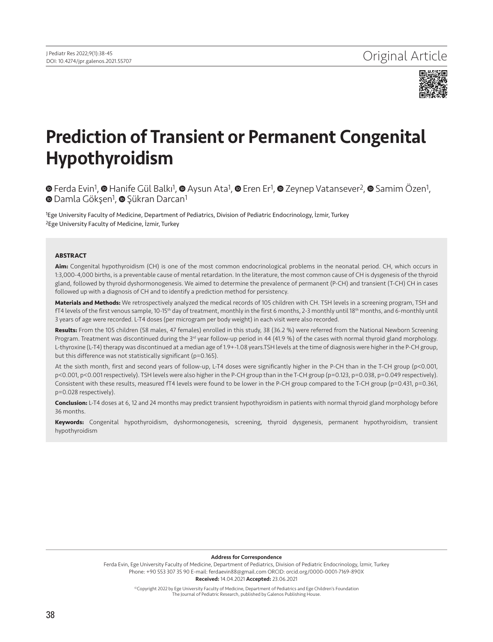

# Prediction of Transient or Permanent Congenital Hypothyroidism

**©**Ferda Evin<sup>1</sup>, **©** Hanife Gül Balkı<sup>1</sup>, **©** Aysun Ata<sup>1</sup>, © Eren Er<sup>1</sup>, © Zeynep Vatansever<sup>2</sup>, © Samim Özen<sup>1</sup>, **■**Damla Gökşen<sup>1</sup>, ■ Şükran Darcan<sup>1</sup>

1Ege University Faculty of Medicine, Department of Pediatrics, Division of Pediatric Endocrinology, İzmir, Turkey 2Ege University Faculty of Medicine, İzmir, Turkey

#### **ABSTRACT**

**Aim:** Congenital hypothyroidism (CH) is one of the most common endocrinological problems in the neonatal period. CH, which occurs in 1:3,000-4,000 births, is a preventable cause of mental retardation. In the literature, the most common cause of CH is dysgenesis of the thyroid gland, followed by thyroid dyshormonogenesis. We aimed to determine the prevalence of permanent (P-CH) and transient (T-CH) CH in cases followed up with a diagnosis of CH and to identify a prediction method for persistency.

**Materials and Methods:** We retrospectively analyzed the medical records of 105 children with CH. TSH levels in a screening program, TSH and fT4 levels of the first venous sample, 10-15<sup>th</sup> day of treatment, monthly in the first 6 months, 2-3 monthly until 18<sup>th</sup> months, and 6-monthly until 3 years of age were recorded. L-T4 doses (per microgram per body weight) in each visit were also recorded.

**Results:** From the 105 children (58 males, 47 females) enrolled in this study, 38 (36.2 %) were referred from the National Newborn Screening Program. Treatment was discontinued during the  $3^{rd}$  year follow-up period in 44 (41.9 %) of the cases with normal thyroid gland morphology. L-thyroxine (L-T4) therapy was discontinued at a median age of 1.9+-1.08 years.TSH levels at the time of diagnosis were higher in the P-CH group, but this difference was not statistically significant (p=0.165).

At the sixth month, first and second years of follow-up, L-T4 doses were significantly higher in the P-CH than in the T-CH group (p<0.001, p<0.001, p<0.001 respectively). TSH levels were also higher in the P-CH group than in the T-CH group (p=0.123, p=0.038, p=0.049 respectively). Consistent with these results, measured fT4 levels were found to be lower in the P-CH group compared to the T-CH group (p=0.431, p=0.361, p=0.028 respectively).

**Conclusion:** L-T4 doses at 6, 12 and 24 months may predict transient hypothyroidism in patients with normal thyroid gland morphology before 36 months.

**Keywords:** Congenital hypothyroidism, dyshormonogenesis, screening, thyroid dysgenesis, permanent hypothyroidism, transient hypothyroidism

Address for Correspondence

Ferda Evin, Ege University Faculty of Medicine, Department of Pediatrics, Division of Pediatric Endocrinology, İzmir, Turkey Phone: +90 553 307 35 90 E-mail: ferdaevin88@gmail.com ORCID: orcid.org/0000-0001-7169-890X Received: 14.04.2021 Accepted: 23.06.2021

> ©Copyright 2022 by Ege University Faculty of Medicine, Department of Pediatrics and Ege Children's Foundation The Journal of Pediatric Research, published by Galenos Publishing House.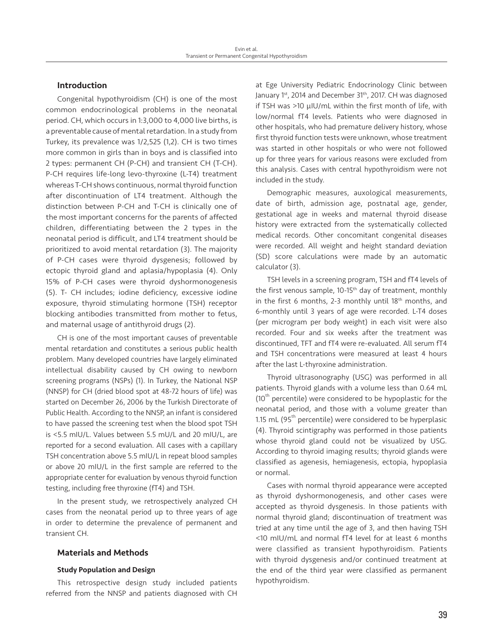# Introduction

Congenital hypothyroidism (CH) is one of the most common endocrinological problems in the neonatal period. CH, which occurs in 1:3,000 to 4,000 live births, is a preventable cause of mental retardation. In a study from Turkey, its prevalence was 1/2,525 (1,2). CH is two times more common in girls than in boys and is classified into 2 types: permanent CH (P-CH) and transient CH (T-CH). P-CH requires life-long levo-thyroxine (L-T4) treatment whereas T-CH shows continuous, normal thyroid function after discontinuation of LT4 treatment. Although the distinction between P-CH and T-CH is clinically one of the most important concerns for the parents of affected children, differentiating between the 2 types in the neonatal period is difficult, and LT4 treatment should be prioritized to avoid mental retardation (3). The majority of P-CH cases were thyroid dysgenesis; followed by ectopic thyroid gland and aplasia/hypoplasia (4). Only 15% of P-CH cases were thyroid dyshormonogenesis (5). T- CH includes; iodine deficiency, excessive iodine exposure, thyroid stimulating hormone (TSH) receptor blocking antibodies transmitted from mother to fetus, and maternal usage of antithyroid drugs (2).

CH is one of the most important causes of preventable mental retardation and constitutes a serious public health problem. Many developed countries have largely eliminated intellectual disability caused by CH owing to newborn screening programs (NSPs) (1). In Turkey, the National NSP (NNSP) for CH (dried blood spot at 48-72 hours of life) was started on December 26, 2006 by the Turkish Directorate of Public Health. According to the NNSP, an infant is considered to have passed the screening test when the blood spot TSH is <5.5 mIU/L. Values between 5.5 mU/L and 20 mIU/L, are reported for a second evaluation. All cases with a capillary TSH concentration above 5.5 mIU/L in repeat blood samples or above 20 mIU/L in the first sample are referred to the appropriate center for evaluation by venous thyroid function testing, including free thyroxine (fT4) and TSH.

In the present study, we retrospectively analyzed CH cases from the neonatal period up to three years of age in order to determine the prevalence of permanent and transient CH.

# Materials and Methods

## Study Population and Design

This retrospective design study included patients referred from the NNSP and patients diagnosed with CH

at Ege University Pediatric Endocrinology Clinic between January 1st, 2014 and December 31<sup>th</sup>, 2017. CH was diagnosed if TSH was >10 µIU/mL within the first month of life, with low/normal fT4 levels. Patients who were diagnosed in other hospitals, who had premature delivery history, whose first thyroid function tests were unknown, whose treatment was started in other hospitals or who were not followed up for three years for various reasons were excluded from this analysis. Cases with central hypothyroidism were not included in the study.

Demographic measures, auxological measurements, date of birth, admission age, postnatal age, gender, gestational age in weeks and maternal thyroid disease history were extracted from the systematically collected medical records. Other concomitant congenital diseases were recorded. All weight and height standard deviation (SD) score calculations were made by an automatic calculator (3).

TSH levels in a screening program, TSH and fT4 levels of the first venous sample, 10-15<sup>th</sup> day of treatment, monthly in the first 6 months, 2-3 monthly until 18<sup>th</sup> months, and 6-monthly until 3 years of age were recorded. L-T4 doses (per microgram per body weight) in each visit were also recorded. Four and six weeks after the treatment was discontinued, TFT and fT4 were re-evaluated. All serum fT4 and TSH concentrations were measured at least 4 hours after the last L-thyroxine administration.

Thyroid ultrasonography (USG) was performed in all patients. Thyroid glands with a volume less than 0.64 mL  $(10<sup>th</sup>$  percentile) were considered to be hypoplastic for the neonatal period, and those with a volume greater than 1.15 mL ( $95<sup>th</sup>$  percentile) were considered to be hyperplasic (4). Thyroid scintigraphy was performed in those patients whose thyroid gland could not be visualized by USG. According to thyroid imaging results; thyroid glands were classified as agenesis, hemiagenesis, ectopia, hypoplasia or normal.

Cases with normal thyroid appearance were accepted as thyroid dyshormonogenesis, and other cases were accepted as thyroid dysgenesis. In those patients with normal thyroid gland; discontinuation of treatment was tried at any time until the age of 3, and then having TSH <10 mIU/mL and normal fT4 level for at least 6 months were classified as transient hypothyroidism. Patients with thyroid dysgenesis and/or continued treatment at the end of the third year were classified as permanent hypothyroidism.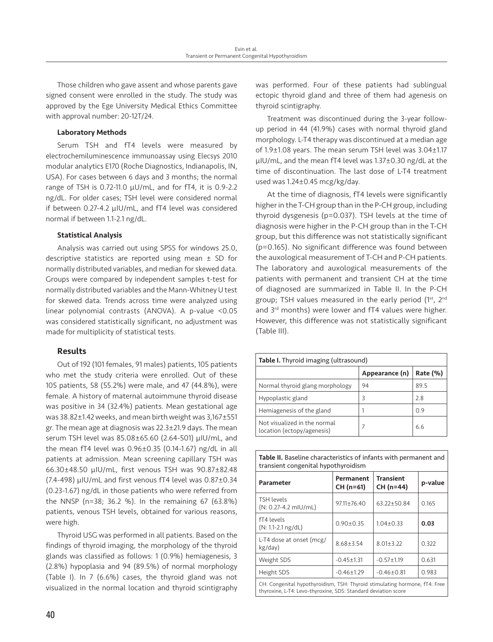Those children who gave assent and whose parents gave signed consent were enrolled in the study. The study was approved by the Ege University Medical Ethics Committee with approval number: 20-12T/24.

## Laboratory Methods

Serum TSH and fT4 levels were measured by electrochemiluminescence immunoassay using Elecsys 2010 modular analytics E170 (Roche Diagnostics, Indianapolis, IN, USA). For cases between 6 days and 3 months; the normal range of TSH is 0.72-11.0 µU/mL, and for fT4, it is 0.9-2.2 ng/dL. For older cases; TSH level were considered normal if between 0.27-4.2 µIU/mL, and fT4 level was considered normal if between 1.1-2.1 ng/dL.

## Statistical Analysis

Analysis was carried out using SPSS for windows 25.0, descriptive statistics are reported using mean  $\pm$  SD for normally distributed variables, and median for skewed data. Groups were compared by independent samples t-test for normally distributed variables and the Mann-Whitney U test for skewed data. Trends across time were analyzed using linear polynomial contrasts (ANOVA). A p-value <0.05 was considered statistically significant, no adjustment was made for multiplicity of statistical tests.

# Results

Out of 192 (101 females, 91 males) patients, 105 patients who met the study criteria were enrolled. Out of these 105 patients, 58 (55.2%) were male, and 47 (44.8%), were female. A history of maternal autoimmune thyroid disease was positive in 34 (32.4%) patients. Mean gestational age was 38.82±1.42 weeks, and mean birth weight was 3,167±551 gr. The mean age at diagnosis was 22.3±21.9 days. The mean serum TSH level was 85.08±65.60 (2.64-501) µIU/mL, and the mean fT4 level was 0.96±0.35 (0.14-1.67) ng/dL in all patients at admission. Mean screening capillary TSH was 66.30±48.50 µIU/mL, first venous TSH was 90.87±82.48 (7.4-498) µIU/mL and first venous fT4 level was 0.87±0.34 (0.23-1.67) ng/dL in those patients who were referred from the NNSP (n=38; 36.2 %). In the remaining 67 (63.8%) patients, venous TSH levels, obtained for various reasons, were high.

Thyroid USG was performed in all patients. Based on the findings of thyroid imaging, the morphology of the thyroid glands was classified as follows: 1 (0.9%) hemiagenesis, 3 (2.8%) hypoplasia and 94 (89.5%) of normal morphology (Table I). In 7 (6.6%) cases, the thyroid gland was not visualized in the normal location and thyroid scintigraphy was performed. Four of these patients had sublingual ectopic thyroid gland and three of them had agenesis on thyroid scintigraphy.

Treatment was discontinued during the 3-year followup period in 44 (41.9%) cases with normal thyroid gland morphology. L-T4 therapy was discontinued at a median age of 1.9±1.08 years. The mean serum TSH level was 3.04±1.17 µIU/mL, and the mean fT4 level was 1.37±0.30 ng/dL at the time of discontinuation. The last dose of L-T4 treatment used was 1.24±0.45 mcg/kg/day.

At the time of diagnosis, fT4 levels were significantly higher in the T-CH group than in the P-CH group, including thyroid dysgenesis (p=0.037). TSH levels at the time of diagnosis were higher in the P-CH group than in the T-CH group, but this difference was not statistically significant (p=0.165). No significant difference was found between the auxological measurement of T-CH and P-CH patients. The laboratory and auxological measurements of the patients with permanent and transient CH at the time of diagnosed are summarized in Table II. In the P-CH group; TSH values measured in the early period (1st, 2nd and 3<sup>rd</sup> months) were lower and fT4 values were higher. However, this difference was not statistically significant (Table III).

| <b>Table I.</b> Thyroid imaging (ultrasound)               |    |      |  |
|------------------------------------------------------------|----|------|--|
| Appearance (n)<br>Rate (%)                                 |    |      |  |
| Normal thyroid glang morphology                            | 94 | 89.5 |  |
| Hypoplastic gland                                          | ξ  | 2.8  |  |
| Hemiagenesis of the gland                                  |    | 0.9  |  |
| Not visualized in the normal<br>location (ectopy/agenesis) | 7  | 6.6  |  |

Table II. Baseline characteristics of infants with permanent and transient congenital hypothyroidism

| Parameter                                                                                                                                    | Permanent<br>CH (n=61) | <b>Transient</b><br>CH (n=44) | p-value |
|----------------------------------------------------------------------------------------------------------------------------------------------|------------------------|-------------------------------|---------|
| <b>TSH levels</b><br>(N: 0.27-4.2 mlU/mL)                                                                                                    | $97.11 \pm 76.40$      | $63.22 \pm 50.84$             | 0.165   |
| fT4 levels<br>$(N: 1.1-2.1$ ng/dL)                                                                                                           | $0.90 \pm 0.35$        | $1.04 \pm 0.33$               | 0.03    |
| L-T4 dose at onset (mcg/<br>kg/day)                                                                                                          | $8.68 + 3.54$          | $8.01 \pm 3.22$               | 0.322   |
| Weight SDS                                                                                                                                   | $-0.45 \pm 1.31$       | $-0.57 \pm 1.19$              | 0.631   |
| Height SDS                                                                                                                                   | $-0.46 \pm 1.29$       | $-0.46 \pm 0.81$              | 0.983   |
| CH: Congenital hypothyroidism, TSH: Thyroid stimulating hormone, fT4: Free<br>thyroxine, L-T4: Levo-thyroxine, SDS: Standard deviation score |                        |                               |         |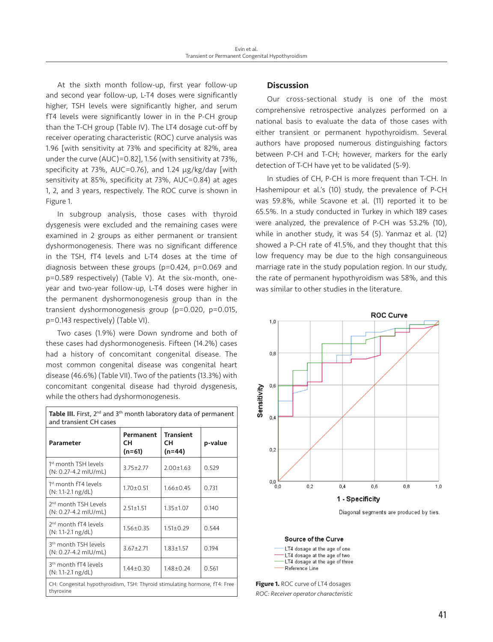At the sixth month follow-up, first year follow-up and second year follow-up, L-T4 doses were significantly higher, TSH levels were significantly higher, and serum fT4 levels were significantly lower in in the P-CH group than the T-CH group (Table IV). The LT4 dosage cut-off by receiver operating characteristic (ROC) curve analysis was 1.96 [with sensitivity at 73% and specificity at 82%, area under the curve (AUC)=0.82], 1.56 (with sensitivity at 73%, specificity at 73%, AUC=0.76), and 1.24 µg/kg/day [with sensitivity at 85%, specificity at 73%, AUC=0.84) at ages 1, 2, and 3 years, respectively. The ROC curve is shown in Figure 1.

In subgroup analysis, those cases with thyroid dysgenesis were excluded and the remaining cases were examined in 2 groups as either permanent or transient dyshormonogenesis. There was no significant difference in the TSH, fT4 levels and L-T4 doses at the time of diagnosis between these groups (p=0.424, p=0.069 and p=0.589 respectively) (Table V). At the six-month, oneyear and two-year follow-up, L-T4 doses were higher in the permanent dyshormonogenesis group than in the transient dyshormonogenesis group (p=0.020, p=0.015, p=0.143 respectively) (Table VI).

Two cases (1.9%) were Down syndrome and both of these cases had dyshormonogenesis. Fifteen (14.2%) cases had a history of concomitant congenital disease. The most common congenital disease was congenital heart disease (46.6%) (Table VII). Two of the patients (13.3%) with concomitant congenital disease had thyroid dysgenesis, while the others had dyshormonogenesis.

| and transient CH cases                                                                  |                           |                                  |         |  |
|-----------------------------------------------------------------------------------------|---------------------------|----------------------------------|---------|--|
| Parameter                                                                               | Permanent<br>CН<br>(n=61) | <b>Transient</b><br>CН<br>(n=44) | p-value |  |
| 1 <sup>st</sup> month TSH levels<br>$(N: 0.27 - 4.2$ mlU/mL)                            | $3.75 \pm 2.77$           | $2.00 \pm 1.63$                  | 0.529   |  |
| 1 <sup>st</sup> month fT4 levels<br>(N: 1.1-2.1 ng/dL)                                  | $1.70 \pm 0.51$           | $1.66 \pm 0.45$                  | 0.731   |  |
| 2 <sup>nd</sup> month TSH Levels<br>(N: 0.27-4.2 mlU/mL)                                | $2.51 \pm 1.51$           | $1.35 \pm 1.07$                  | 0.140   |  |
| 2 <sup>nd</sup> month fT4 levels<br>(N: 1.1-2.1 ng/dL)                                  | $1.56 \pm 0.35$           | $1.51 \pm 0.29$                  | 0.544   |  |
| 3 <sup>th</sup> month TSH levels<br>$(N: 0.27 - 4.2$ mlU/mL)                            | $3.67 + 2.71$             | $1.83 + 1.57$                    | 0.194   |  |
| 3 <sup>th</sup> month fT4 levels<br>$(N: 1.1-2.1$ ng/dL)                                | $1.44 \pm 0.30$           | $1.48 \pm 0.24$                  | 0.561   |  |
| CH: Congenital hypothyroidism, TSH: Thyroid stimulating hormone, fT4: Free<br>thyroxine |                           |                                  |         |  |

# Table III. First, 2<sup>nd</sup> and 3<sup>th</sup> month laboratory data of permanent and transient CH cases

# **Discussion**

Our cross-sectional study is one of the most comprehensive retrospective analyzes performed on a national basis to evaluate the data of those cases with either transient or permanent hypothyroidism. Several authors have proposed numerous distinguishing factors between P-CH and T-CH; however, markers for the early detection of T-CH have yet to be validated (5-9).

In studies of CH, P-CH is more frequent than T-CH. In Hashemipour et al.'s (10) study, the prevalence of P-CH was 59.8%, while Scavone et al. (11) reported it to be 65.5%. In a study conducted in Turkey in which 189 cases were analyzed, the prevalence of P-CH was 53.2% (10), while in another study, it was 54 (5). Yanmaz et al. (12) showed a P-CH rate of 41.5%, and they thought that this low frequency may be due to the high consanguineous marriage rate in the study population region. In our study, the rate of permanent hypothyroidism was 58%, and this was similar to other studies in the literature.



Diagonal segments are produced by ties.

### **Source of the Curve**

| LT4 dosage at the age of one  |  |                                 |
|-------------------------------|--|---------------------------------|
| -LT4 dosage at the age of two |  |                                 |
|                               |  | -LT4 dosage at the age of three |
| Reference Line                |  |                                 |

**Figure 1.** ROC curve of LT4 dosages *ROC: Receiver operator characteristic*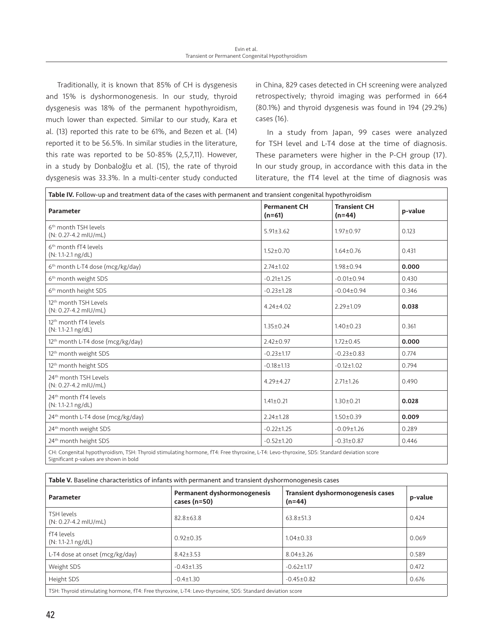Traditionally, it is known that 85% of CH is dysgenesis and 15% is dyshormonogenesis. In our study, thyroid dysgenesis was 18% of the permanent hypothyroidism, much lower than expected. Similar to our study, Kara et al. (13) reported this rate to be 61%, and Bezen et al. (14) reported it to be 56.5%. In similar studies in the literature, this rate was reported to be 50-85% (2,5,7,11). However, in a study by Donbaloğlu et al. (15), the rate of thyroid dysgenesis was 33.3%. In a multi-center study conducted in China, 829 cases detected in CH screening were analyzed retrospectively; thyroid imaging was performed in 664 (80.1%) and thyroid dysgenesis was found in 194 (29.2%) cases (16).

In a study from Japan, 99 cases were analyzed for TSH level and L-T4 dose at the time of diagnosis. These parameters were higher in the P-CH group (17). In our study group, in accordance with this data in the literature, the fT4 level at the time of diagnosis was

| Table IV. Follow-up and treatment data of the cases with permanent and transient congenital hypothyroidism                                                                          |                                 |                                 |         |  |
|-------------------------------------------------------------------------------------------------------------------------------------------------------------------------------------|---------------------------------|---------------------------------|---------|--|
| Parameter                                                                                                                                                                           | <b>Permanent CH</b><br>$(n=61)$ | <b>Transient CH</b><br>$(n=44)$ | p-value |  |
| 6 <sup>th</sup> month TSH levels<br>(N: 0.27-4.2 mlU/mL)                                                                                                                            | $5.91 \pm 3.62$                 | $1.97 \pm 0.97$                 | 0.123   |  |
| 6 <sup>th</sup> month fT4 levels<br>$(N: 1.1-2.1$ ng/dL)                                                                                                                            | $1.52 \pm 0.70$                 | $1.64 \pm 0.76$                 | 0.431   |  |
| 6 <sup>th</sup> month L-T4 dose (mcg/kg/day)                                                                                                                                        | $2.74 \pm 1.02$                 | $1.98 \pm 0.94$                 | 0.000   |  |
| 6 <sup>th</sup> month weight SDS                                                                                                                                                    | $-0.21 \pm 1.25$                | $-0.01 \pm 0.94$                | 0.430   |  |
| 6 <sup>th</sup> month height SDS                                                                                                                                                    | $-0.23 \pm 1.28$                | $-0.04 \pm 0.94$                | 0.346   |  |
| 12 <sup>th</sup> month TSH Levels<br>(N: 0.27-4.2 mlU/mL)                                                                                                                           | $4.24 + 4.02$                   | $2.29 \pm 1.09$                 | 0.038   |  |
| 12 <sup>th</sup> month fT4 levels<br>(N: 1.1-2.1 ng/dL)                                                                                                                             | $1.35 \pm 0.24$                 | $1.40 \pm 0.23$                 | 0.361   |  |
| 12 <sup>th</sup> month L-T4 dose (mcg/kg/day)                                                                                                                                       | $2.42 \pm 0.97$                 | $1.72 \pm 0.45$                 | 0.000   |  |
| 12 <sup>th</sup> month weight SDS                                                                                                                                                   | $-0.23 \pm 1.17$                | $-0.23 \pm 0.83$                | 0.774   |  |
| 12 <sup>th</sup> month height SDS                                                                                                                                                   | $-0.18 + 1.13$                  | $-0.12 \pm 1.02$                | 0.794   |  |
| 24 <sup>th</sup> month TSH Levels<br>(N: 0.27-4.2 mIU/mL)                                                                                                                           | $4.29 \pm 4.27$                 | $2.71 \pm 1.26$                 | 0.490   |  |
| 24 <sup>th</sup> month fT4 levels<br>$(N: 1.1-2.1$ ng/dL)                                                                                                                           | $1.41 \pm 0.21$                 | $1.30 \pm 0.21$                 | 0.028   |  |
| 24 <sup>th</sup> month L-T4 dose (mcg/kg/day)                                                                                                                                       | $2.24 + 1.28$                   | $1.50 \pm 0.39$                 | 0.009   |  |
| 24 <sup>th</sup> month weight SDS                                                                                                                                                   | $-0.22 \pm 1.25$                | $-0.09 \pm 1.26$                | 0.289   |  |
| 24 <sup>th</sup> month height SDS                                                                                                                                                   | $-0.52 \pm 1.20$                | $-0.31 \pm 0.87$                | 0.446   |  |
| CH: Congenital hypothyroidism, TSH: Thyroid stimulating hormone, fT4: Free thyroxine, L-T4: Levo-thyroxine, SDS: Standard deviation score<br>Significant p-values are shown in bold |                                 |                                 |         |  |

| Table V. Baseline characteristics of infants with permanent and transient dyshormonogenesis cases |                                                 |                                                      |         |  |
|---------------------------------------------------------------------------------------------------|-------------------------------------------------|------------------------------------------------------|---------|--|
| <b>Parameter</b>                                                                                  | Permanent dyshormonogenesis<br>cases ( $n=50$ ) | <b>Transient dyshormonogenesis cases</b><br>$(n=44)$ | p-value |  |
| TSH levels<br>$(N: 0.27 - 4.2$ mlU/mL)                                                            | $82.8 \pm 63.8$                                 | $63.8 \pm 51.3$                                      | 0.424   |  |
| fT4 levels<br>$(N: 1.1-2.1$ ng/dL)                                                                | $0.92 \pm 0.35$                                 | $1.04 \pm 0.33$                                      | 0.069   |  |
| L-T4 dose at onset (mcg/kg/day)                                                                   | $8.42 \pm 3.53$                                 | $8.04 \pm 3.26$                                      | 0.589   |  |
| Weight SDS                                                                                        | $-0.43 \pm 1.35$                                | $-0.62 \pm 1.17$                                     | 0.472   |  |
| Height SDS                                                                                        | $-0.4 \pm 1.30$                                 | $-0.45 \pm 0.82$                                     | 0.676   |  |
|                                                                                                   |                                                 |                                                      |         |  |

TSH: Thyroid stimulating hormone, fT4: Free thyroxine, L-T4: Levo-thyroxine, SDS: Standard deviation score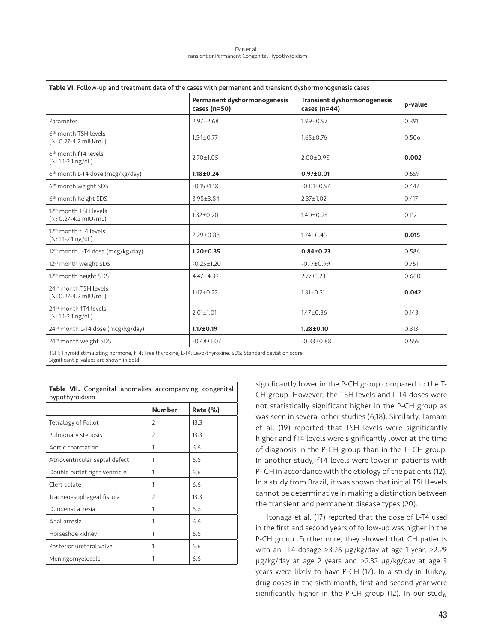| Table VI. Follow-up and treatment data of the cases with permanent and transient dyshormonogenesis cases   |                                             |                                                      |         |  |
|------------------------------------------------------------------------------------------------------------|---------------------------------------------|------------------------------------------------------|---------|--|
|                                                                                                            | Permanent dyshormonogenesis<br>cases (n=50) | <b>Transient dyshormonogenesis</b><br>cases $(n=44)$ | p-value |  |
| Parameter                                                                                                  | $2.97 \pm 2.68$                             | $1.99 \pm 0.97$                                      | 0.391   |  |
| 6 <sup>th</sup> month TSH levels<br>(N: 0.27-4.2 mIU/mL)                                                   | $1.54 \pm 0.77$                             | $1.65 \pm 0.76$                                      | 0.506   |  |
| 6 <sup>th</sup> month fT4 levels<br>$(N: 1.1-2.1$ ng/dL)                                                   | $2.70 \pm 1.05$                             | $2.00 \pm 0.95$                                      | 0.002   |  |
| 6 <sup>th</sup> month L-T4 dose (mcg/kg/day)                                                               | $1.18 \pm 0.24$                             | $0.97 + 0.01$                                        | 0.559   |  |
| 6 <sup>th</sup> month weight SDS                                                                           | $-0.15 \pm 1.18$                            | $-0.01 \pm 0.94$                                     | 0.447   |  |
| 6 <sup>th</sup> month height SDS                                                                           | $3.98 \pm 3.84$                             | $2.37 \pm 1.02$                                      | 0.417   |  |
| 12 <sup>th</sup> month TSH levels<br>(N: 0.27-4.2 mlU/mL)                                                  | $1.32 \pm 0.20$                             | $1.40 \pm 0.23$                                      | 0.112   |  |
| 12 <sup>th</sup> month fT4 levels<br>$(N: 1.1-2.1$ ng/dL)                                                  | $2.29 \pm 0.88$                             | $1.74 \pm 0.45$                                      | 0.015   |  |
| 12 <sup>th</sup> month L-T4 dose (mcg/kg/day)                                                              | $1.20 \pm 0.35$                             | $0.84 \pm 0.23$                                      | 0.586   |  |
| 12 <sup>th</sup> month weight SDS                                                                          | $-0.25 \pm 1.20$                            | $-0.17 \pm 0.99$                                     | 0.751   |  |
| 12 <sup>th</sup> month height SDS                                                                          | $4.47 \pm 4.39$                             | $2.77 \pm 1.23$                                      | 0.660   |  |
| 24 <sup>th</sup> month TSH levels<br>(N: 0.27-4.2 mlU/mL)                                                  | $1.42 \pm 0.22$                             | $1.31 \pm 0.21$                                      | 0.042   |  |
| 24 <sup>th</sup> month fT4 levels<br>(N: 1.1-2.1 ng/dL)                                                    | $2.01 \pm 1.01$                             | $1.47 \pm 0.36$                                      | 0.143   |  |
| 24 <sup>th</sup> month L-T4 dose (mcg/kg/day)                                                              | $1.17 \pm 0.19$                             | $1.28 \pm 0.10$                                      | 0.313   |  |
| 24 <sup>th</sup> month weight SDS                                                                          | $-0.48 \pm 1.07$                            | $-0.33 \pm 0.88$                                     | 0.559   |  |
| TSH: Thyroid stimulating hormone. fT4: Free thyroxine. L-T4: Levo-thyroxine. SDS: Standard deviation score |                                             |                                                      |         |  |

TSH: Thyroid stimulating hormone, fT4: Free thyroxine, L-T4: Levo-thyroxine, SDS: Standard deviation score Significant p-values are shown in bold

| Table VII. Congenital anomalies accompanying congenital<br>hypothyroidism |                |          |  |
|---------------------------------------------------------------------------|----------------|----------|--|
|                                                                           | <b>Number</b>  | Rate (%) |  |
| Tetralogy of Fallot                                                       | 2              | 13.3     |  |
| Pulmonary stenosis                                                        | 2              | 13.3     |  |
| Aortic coarctation                                                        | 1              | 6.6      |  |
| Atrioventricular septal defect                                            | 1              | 6.6      |  |
| Double outlet right ventricle                                             | 1              | 6.6      |  |
| Cleft palate                                                              | 1              | 6.6      |  |
| Tracheoesophageal fistula                                                 | $\overline{2}$ | 13.3     |  |
| Duodenal atresia                                                          | 1              | 6.6      |  |
| Anal atresia                                                              | 1              | 6.6      |  |
| Horseshoe kidney                                                          | 1              | 6.6      |  |
| Posterior urethral valve                                                  |                | 6.6      |  |
| Meningomyelocele                                                          | 1              | 6.6      |  |

Table VII. Congenital anomalies accompanying congenital

significantly lower in the P-CH group compared to the T-CH group. However, the TSH levels and L-T4 doses were not statistically significant higher in the P-CH group as was seen in several other studies (6,18). Similarly, Tamam et al. (19) reported that TSH levels were significantly higher and fT4 levels were significantly lower at the time of diagnosis in the P-CH group than in the T- CH group. In another study, fT4 levels were lower in patients with P- CH in accordance with the etiology of the patients (12). In a study from Brazil, it was shown that initial TSH levels cannot be determinative in making a distinction between the transient and permanent disease types (20).

Itonaga et al. (17) reported that the dose of L-T4 used in the first and second years of follow-up was higher in the P-CH group. Furthermore, they showed that CH patients with an LT4 dosage >3.26 µg/kg/day at age 1 year, >2.29 µg/kg/day at age 2 years and >2.32 µg/kg/day at age 3 years were likely to have P-CH (17). In a study in Turkey, drug doses in the sixth month, first and second year were significantly higher in the P-CH group (12). In our study,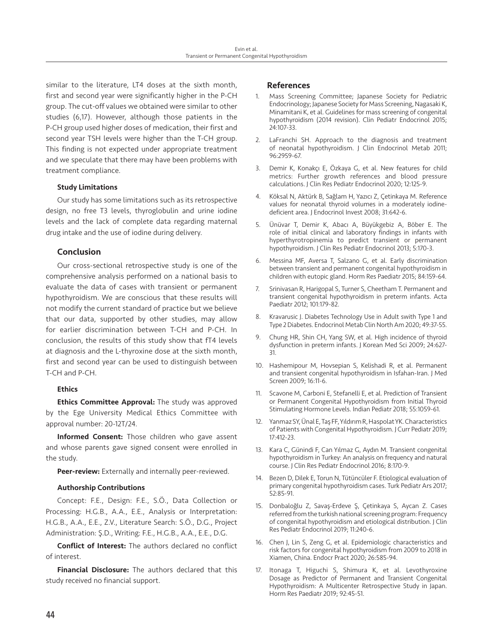similar to the literature, LT4 doses at the sixth month, first and second year were significantly higher in the P-CH group. The cut-off values we obtained were similar to other studies (6,17). However, although those patients in the P-CH group used higher doses of medication, their first and second year TSH levels were higher than the T-CH group. This finding is not expected under appropriate treatment and we speculate that there may have been problems with treatment compliance.

## Study Limitations

Our study has some limitations such as its retrospective design, no free T3 levels, thyroglobulin and urine iodine levels and the lack of complete data regarding maternal drug intake and the use of iodine during delivery.

# Conclusion

Our cross-sectional retrospective study is one of the comprehensive analysis performed on a national basis to evaluate the data of cases with transient or permanent hypothyroidism. We are conscious that these results will not modify the current standard of practice but we believe that our data, supported by other studies, may allow for earlier discrimination between T-CH and P-CH. In conclusion, the results of this study show that fT4 levels at diagnosis and the L-thyroxine dose at the sixth month, first and second year can be used to distinguish between T-CH and P-CH.

# **Ethics**

**Ethics Committee Approval:** The study was approved by the Ege University Medical Ethics Committee with approval number: 20-12T/24.

Informed Consent: Those children who gave assent and whose parents gave signed consent were enrolled in the study.

Peer-review: Externally and internally peer-reviewed.

## Authorship Contributions

Concept: F.E., Design: F.E., S.Ö., Data Collection or Processing: H.G.B., A.A., E.E., Analysis or Interpretation: H.G.B., A.A., E.E., Z.V., Literature Search: S.Ö., D.G., Project Administration: Ş.D., Writing: F.E., H.G.B., A.A., E.E., D.G.

Conflict of Interest: The authors declared no conflict of interest.

Financial Disclosure: The authors declared that this study received no financial support.

## References

- Mass Screening Committee; Japanese Society for Pediatric Endocrinology; Japanese Society for Mass Screening, Nagasaki K, Minamitani K, et al. Guidelines for mass screening of congenital hypothyroidism (2014 revision). Clin Pediatr Endocrinol 2015; 24:107-33.
- 2. LaFranchi SH. Approach to the diagnosis and treatment of neonatal hypothyroidism. J Clin Endocrinol Metab 2011; 96:2959-67.
- 3. Demir K, Konakçı E, Özkaya G, et al. New features for child metrics: Further growth references and blood pressure calculations. J Clin Res Pediatr Endocrinol 2020; 12:125-9.
- 4. Köksal N, Aktürk B, Sağlam H, Yazıcı Z, Çetinkaya M. Reference values for neonatal thyroid volumes in a moderately iodinedeficient area. J Endocrinol Invest 2008; 31:642-6.
- 5. Ünüvar T, Demir K, Abacı A, Büyükgebiz A, Böber E. The role of initial clinical and laboratory findings in infants with hyperthyrotropinemia to predict transient or permanent hypothyroidism. J Clin Res Pediatr Endocrinol 2013; 5:170-3.
- Messina MF, Aversa T, Salzano G, et al. Early discrimination between transient and permanent congenital hypothyroidism in children with eutopic gland. Horm Res Paediatr 2015; 84:159-64.
- 7. Srinivasan R, Harigopal S, Turner S, Cheetham T. Permanent and transient congenital hypothyroidism in preterm infants. Acta Paediatr 2012; 101:179-82.
- 8. Kravarusic J. Diabetes Technology Use in Adult swith Type 1 and Type 2 Diabetes. Endocrinol Metab Clin North Am 2020; 49:37-55.
- 9. Chung HR, Shin CH, Yang SW, et al. High incidence of thyroid dysfunction in preterm infants. J Korean Med Sci 2009; 24:627- 31.
- 10. Hashemipour M, Hovsepian S, Kelishadi R, et al. Permanent and transient congenital hypothyroidism in Isfahan-Iran. J Med Screen 2009; 16:11-6.
- 11. Scavone M, Carboni E, Stefanelli E, et al. Prediction of Transient or Permanent Congenital Hypothyroidism from Initial Thyroid Stimulating Hormone Levels. Indian Pediatr 2018; 55:1059-61.
- 12. Yanmaz SY, Ünal E, Taş FF, Yıldırım R, Haspolat YK. Characteristics of Patients with Congenital Hypothyroidism. J Curr Pediatr 2019; 17:412-23.
- 13. Kara C, Günindi F, Can Yılmaz G, Aydın M. Transient congenital hypothyroidism in Turkey: An analysis on frequency and natural course. J Clin Res Pediatr Endocrinol 2016; 8:170-9.
- 14. Bezen D, Dilek E, Torun N, Tütüncüler F. Etiological evaluation of primary congenital hypothyroidism cases. Turk Pediatr Ars 2017; 52:85-91.
- 15. Donbaloğlu Z, Savaş-Erdeve Ş, Çetinkaya S, Aycan Z. Cases referred from the turkish national screening program: Frequency of congenital hypothyroidism and etiological distribution. J Clin Res Pediatr Endocrinol 2019; 11:240-6.
- 16. Chen J, Lin S, Zeng G, et al. Epidemiologic characteristics and risk factors for congenital hypothyroidism from 2009 to 2018 in Xiamen, China. Endocr Pract 2020; 26:585-94.
- 17. Itonaga T, Higuchi S, Shimura K, et al. Levothyroxine Dosage as Predictor of Permanent and Transient Congenital Hypothyroidism: A Multicenter Retrospective Study in Japan. Horm Res Paediatr 2019; 92:45-51.